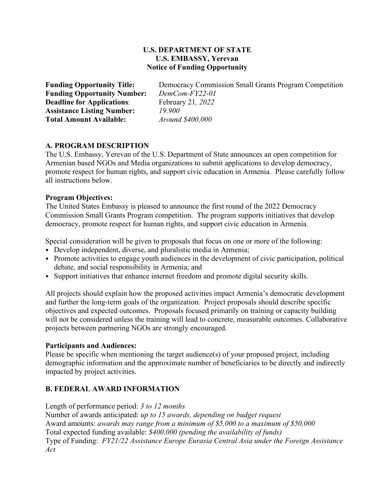### **U.S. DEPARTMENT OF STATE U.S. EMBASSY, Yerevan Notice of Funding Opportunity**

**Funding Opportunity Title:** Democracy Commission Small Grants Program Competition **Funding Opportunity Number:** *DemCom-FY22-01* **Deadline for Applications**: February 21*, 2022* **Assistance Listing Number:** *19.900* **Total Amount Available:** *Around \$400,000*

### **A. PROGRAM DESCRIPTION**

The U.S. Embassy, Yerevan of the U.S. Department of State announces an open competition for Armenian based NGOs and Media organizations to submit applications to develop democracy, promote respect for human rights, and support civic education in Armenia. Please carefully follow all instructions below.

#### **Program Objectives:**

The United States Embassy is pleased to announce the first round of the 2022 Democracy Commission Small Grants Program competition. The program supports initiatives that develop democracy, promote respect for human rights, and support civic education in Armenia.

Special consideration will be given to proposals that focus on one or more of the following:

- Develop independent, diverse, and pluralistic media in Armenia;
- Promote activities to engage youth audiences in the development of civic participation, political debate, and social responsibility in Armenia; and
- Support initiatives that enhance internet freedom and promote digital security skills.

All projects should explain how the proposed activities impact Armenia's democratic development and further the long-term goals of the organization. Project proposals should describe specific objectives and expected outcomes. Proposals focused primarily on training or capacity building will not be considered unless the training will lead to concrete, measurable outcomes. Collaborative projects between partnering NGOs are strongly encouraged.

#### **Participants and Audiences:**

Please be specific when mentioning the target audience(s) of your proposed project, including demographic information and the approximate number of beneficiaries to be directly and indirectly impacted by project activities.

### **B. FEDERAL AWARD INFORMATION**

Length of performance period: *3 to 12 months*

Number of awards anticipated: *up to 15 awards, depending on budget request* Award amounts: *awards may range from a minimum of \$5,000 to a maximum of \$50,000* Total expected funding available: *\$400,000 (pending the availability of funds)* Type of Funding: *FY21/22 Assistance Europe Eurasia Central Asia under the Foreign Assistance Act*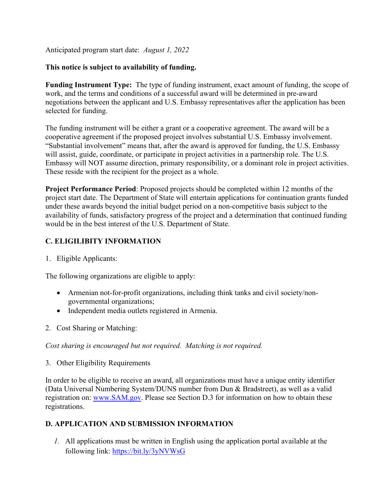Anticipated program start date: *August 1, 2022*

# **This notice is subject to availability of funding.**

**Funding Instrument Type:** The type of funding instrument, exact amount of funding, the scope of work, and the terms and conditions of a successful award will be determined in pre-award negotiations between the applicant and U.S. Embassy representatives after the application has been selected for funding.

The funding instrument will be either a grant or a cooperative agreement. The award will be a cooperative agreement if the proposed project involves substantial U.S. Embassy involvement. "Substantial involvement" means that, after the award is approved for funding, the U.S. Embassy will assist, guide, coordinate, or participate in project activities in a partnership role. The U.S. Embassy will NOT assume direction, primary responsibility, or a dominant role in project activities. These reside with the recipient for the project as a whole.

**Project Performance Period**: Proposed projects should be completed within 12 months of the project start date. The Department of State will entertain applications for continuation grants funded under these awards beyond the initial budget period on a non-competitive basis subject to the availability of funds, satisfactory progress of the project and a determination that continued funding would be in the best interest of the U.S. Department of State.

# **C. ELIGILIBITY INFORMATION**

1. Eligible Applicants:

The following organizations are eligible to apply:

- Armenian not-for-profit organizations, including think tanks and civil society/nongovernmental organizations;
- Independent media outlets registered in Armenia.
- 2. Cost Sharing or Matching:

*Cost sharing is encouraged but not required. Matching is not required.*

3. Other Eligibility Requirements

In order to be eligible to receive an award, all organizations must have a unique entity identifier (Data Universal Numbering System/DUNS number from Dun & Bradstreet), as well as a valid registration on: [www.SAM.gov.](http://www.sam.gov/) Please see Section D.3 for information on how to obtain these registrations.

# **D. APPLICATION AND SUBMISSION INFORMATION**

*1.* All applications must be written in English using the application portal available at the following link:<https://bit.ly/3yNVWsG>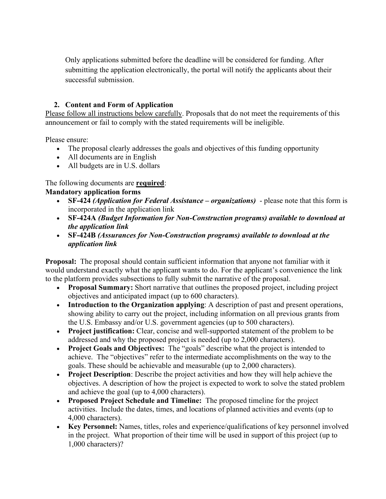Only applications submitted before the deadline will be considered for funding. After submitting the application electronically, the portal will notify the applicants about their successful submission.

### **2. Content and Form of Application**

Please follow all instructions below carefully. Proposals that do not meet the requirements of this announcement or fail to comply with the stated requirements will be ineligible.

Please ensure:

- The proposal clearly addresses the goals and objectives of this funding opportunity
- All documents are in English
- All budgets are in U.S. dollars

### The following documents are **required**:

### **Mandatory application forms**

- **SF-424** *(Application for Federal Assistance – organizations)* please note that this form is incorporated in the application link
- **SF-424A** *(Budget Information for Non-Construction programs) available to download at the application link*
- **SF-424B** *(Assurances for Non-Construction programs) available to download at the application link*

**Proposal:** The proposal should contain sufficient information that anyone not familiar with it would understand exactly what the applicant wants to do. For the applicant's convenience the link to the platform provides subsections to fully submit the narrative of the proposal.

- **Proposal Summary:** Short narrative that outlines the proposed project, including project objectives and anticipated impact (up to 600 characters).
- **Introduction to the Organization applying**: A description of past and present operations, showing ability to carry out the project, including information on all previous grants from the U.S. Embassy and/or U.S. government agencies (up to 500 characters).
- **Project justification:** Clear, concise and well-supported statement of the problem to be addressed and why the proposed project is needed (up to 2,000 characters).
- **Project Goals and Objectives:** The "goals" describe what the project is intended to achieve. The "objectives" refer to the intermediate accomplishments on the way to the goals. These should be achievable and measurable (up to 2,000 characters).
- **Project Description**: Describe the project activities and how they will help achieve the objectives. A description of how the project is expected to work to solve the stated problem and achieve the goal (up to 4,000 characters).
- **Proposed Project Schedule and Timeline:** The proposed timeline for the project activities. Include the dates, times, and locations of planned activities and events (up to 4,000 characters).
- **Key Personnel:** Names, titles, roles and experience/qualifications of key personnel involved in the project. What proportion of their time will be used in support of this project (up to 1,000 characters)?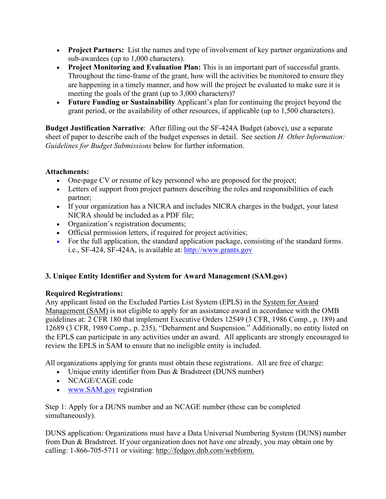- **Project Partners:** List the names and type of involvement of key partner organizations and sub-awardees (up to 1,000 characters).
- **Project Monitoring and Evaluation Plan:** This is an important part of successful grants. Throughout the time-frame of the grant, how will the activities be monitored to ensure they are happening in a timely manner, and how will the project be evaluated to make sure it is meeting the goals of the grant (up to 3,000 characters)?
- **Future Funding or Sustainability** Applicant's plan for continuing the project beyond the grant period, or the availability of other resources, if applicable (up to 1,500 characters).

**Budget Justification Narrative**: After filling out the SF-424A Budget (above), use a separate sheet of paper to describe each of the budget expenses in detail. See section *H. Other Information: Guidelines for Budget Submissions* below for further information.

# **Attachments:**

- One-page CV or resume of key personnel who are proposed for the project;
- Letters of support from project partners describing the roles and responsibilities of each partner;
- If your organization has a NICRA and includes NICRA charges in the budget, your latest NICRA should be included as a PDF file;
- Organization's registration documents;
- Official permission letters, if required for project activities;
- For the full application, the standard application package, consisting of the standard forms. i.e., SF-424, SF-424A, is available at: [http://www.grants.gov](http://www.grants.gov/)

# **3. Unique Entity Identifier and System for Award Management (SAM.gov)**

# **Required Registrations:**

Any applicant listed on the Excluded Parties List System (EPLS) in the [System for Award](https://sam.gov/)  [Management \(SAM\)](https://sam.gov/) is not eligible to apply for an assistance award in accordance with the OMB guidelines at: 2 CFR 180 that implement Executive Orders 12549 (3 CFR, 1986 Comp., p. 189) and 12689 (3 CFR, 1989 Comp., p. 235), "Debarment and Suspension." Additionally, no entity listed on the EPLS can participate in any activities under an award. All applicants are strongly encouraged to review the EPLS in SAM to ensure that no ineligible entity is included.

All organizations applying for grants must obtain these registrations. All are free of charge:

- Unique entity identifier from Dun & Bradstreet (DUNS number)
- NCAGE/CAGE code
- [www.SAM.gov](http://www.sam.gov/) registration

Step 1: Apply for a DUNS number and an NCAGE number (these can be completed simultaneously).

DUNS application: Organizations must have a Data Universal Numbering System (DUNS) number from Dun & Bradstreet. If your organization does not have one already, you may obtain one by calling: 1-866-705-5711 or visiting: [http://fedgov.dnb.com/webform.](http://fedgov.dnb.com/webform)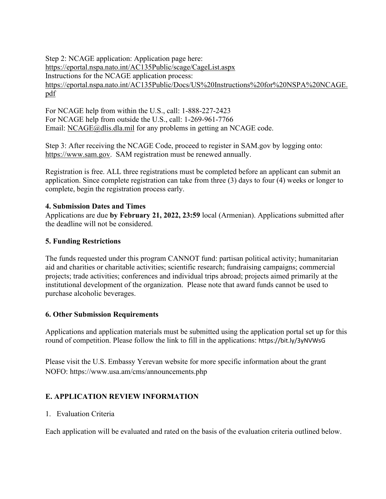Step 2: NCAGE application: Application page here: <https://eportal.nspa.nato.int/AC135Public/scage/CageList.aspx> Instructions for the NCAGE application process: [https://eportal.nspa.nato.int/AC135Public/Docs/US%20Instructions%20for%20NSPA%20NCAGE.](https://eportal.nspa.nato.int/AC135Public/Docs/US%20Instructions%20for%20NSPA%20NCAGE.pdf) [pdf](https://eportal.nspa.nato.int/AC135Public/Docs/US%20Instructions%20for%20NSPA%20NCAGE.pdf)

For NCAGE help from within the U.S., call: 1-888-227-2423 For NCAGE help from outside the U.S., call: 1-269-961-7766 Email: [NCAGE@dlis.dla.mil](mailto:NCAGE@dlis.dla.mil) for any problems in getting an NCAGE code.

Step 3: After receiving the NCAGE Code, proceed to register in SAM.gov by logging onto: [https://www.sam.gov.](https://www.sam.gov/) SAM registration must be renewed annually.

Registration is free. ALL three registrations must be completed before an applicant can submit an application. Since complete registration can take from three (3) days to four (4) weeks or longer to complete, begin the registration process early.

### **4. Submission Dates and Times**

Applications are due **by February 21, 2022, 23:59** local (Armenian). Applications submitted after the deadline will not be considered.

### **5. Funding Restrictions**

The funds requested under this program CANNOT fund: partisan political activity; humanitarian aid and charities or charitable activities; scientific research; fundraising campaigns; commercial projects; trade activities; conferences and individual trips abroad; projects aimed primarily at the institutional development of the organization. Please note that award funds cannot be used to purchase alcoholic beverages.

# **6. Other Submission Requirements**

Applications and application materials must be submitted using the application portal set up for this round of competition. Please follow the link to fill in the applications: https://bit.ly/3yNVWsG

Please visit the U.S. Embassy Yerevan website for more specific information about the grant NOFO: https://www.usa.am/cms/announcements.php

# **E. APPLICATION REVIEW INFORMATION**

# 1. Evaluation Criteria

Each application will be evaluated and rated on the basis of the evaluation criteria outlined below.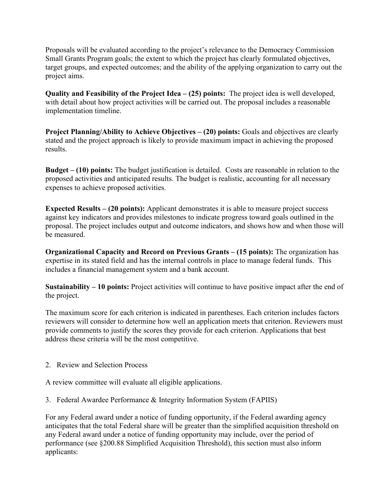Proposals will be evaluated according to the project's relevance to the Democracy Commission Small Grants Program goals; the extent to which the project has clearly formulated objectives, target groups, and expected outcomes; and the ability of the applying organization to carry out the project aims.

**Quality and Feasibility of the Project Idea – (25) points:** The project idea is well developed, with detail about how project activities will be carried out. The proposal includes a reasonable implementation timeline.

**Project Planning/Ability to Achieve Objectives – (20) points:** Goals and objectives are clearly stated and the project approach is likely to provide maximum impact in achieving the proposed results.

**Budget – (10) points:** The budget justification is detailed. Costs are reasonable in relation to the proposed activities and anticipated results. The budget is realistic, accounting for all necessary expenses to achieve proposed activities.

**Expected Results – (20 points):** Applicant demonstrates it is able to measure project success against key indicators and provides milestones to indicate progress toward goals outlined in the proposal. The project includes output and outcome indicators, and shows how and when those will be measured.

**Organizational Capacity and Record on Previous Grants – (15 points):** The organization has expertise in its stated field and has the internal controls in place to manage federal funds. This includes a financial management system and a bank account.

**Sustainability – 10 points:** Project activities will continue to have positive impact after the end of the project.

The maximum score for each criterion is indicated in parentheses. Each criterion includes factors reviewers will consider to determine how well an application meets that criterion. Reviewers must provide comments to justify the scores they provide for each criterion. Applications that best address these criteria will be the most competitive.

2. Review and Selection Process

A review committee will evaluate all eligible applications.

3. Federal Awardee Performance & Integrity Information System (FAPIIS)

For any Federal award under a notice of funding opportunity, if the Federal awarding agency anticipates that the total Federal share will be greater than the simplified acquisition threshold on any Federal award under a notice of funding opportunity may include, over the period of performance (see §200.88 Simplified Acquisition Threshold), this section must also inform applicants: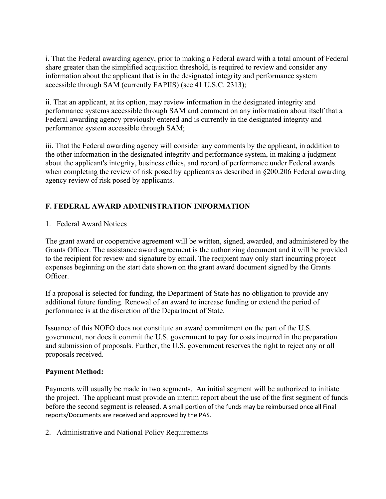i. That the Federal awarding agency, prior to making a Federal award with a total amount of Federal share greater than the simplified acquisition threshold, is required to review and consider any information about the applicant that is in the designated integrity and performance system accessible through SAM (currently FAPIIS) (see 41 U.S.C. 2313);

ii. That an applicant, at its option, may review information in the designated integrity and performance systems accessible through SAM and comment on any information about itself that a Federal awarding agency previously entered and is currently in the designated integrity and performance system accessible through SAM;

iii. That the Federal awarding agency will consider any comments by the applicant, in addition to the other information in the designated integrity and performance system, in making a judgment about the applicant's integrity, business ethics, and record of performance under Federal awards when completing the review of risk posed by applicants as described in §200.206 Federal awarding agency review of risk posed by applicants.

# **F. FEDERAL AWARD ADMINISTRATION INFORMATION**

1. Federal Award Notices

The grant award or cooperative agreement will be written, signed, awarded, and administered by the Grants Officer. The assistance award agreement is the authorizing document and it will be provided to the recipient for review and signature by email. The recipient may only start incurring project expenses beginning on the start date shown on the grant award document signed by the Grants Officer.

If a proposal is selected for funding, the Department of State has no obligation to provide any additional future funding. Renewal of an award to increase funding or extend the period of performance is at the discretion of the Department of State.

Issuance of this NOFO does not constitute an award commitment on the part of the U.S. government, nor does it commit the U.S. government to pay for costs incurred in the preparation and submission of proposals. Further, the U.S. government reserves the right to reject any or all proposals received.

# **Payment Method:**

Payments will usually be made in two segments. An initial segment will be authorized to initiate the project. The applicant must provide an interim report about the use of the first segment of funds before the second segment is released. A small portion of the funds may be reimbursed once all Final reports/Documents are received and approved by the PAS.

2. Administrative and National Policy Requirements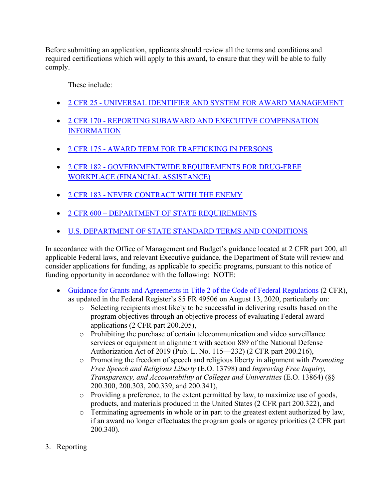Before submitting an application, applicants should review all the terms and conditions and required certifications which will apply to this award, to ensure that they will be able to fully comply.

These include:

- 2 CFR 25 [UNIVERSAL IDENTIFIER AND SYSTEM FOR AWARD MANAGEMENT](https://www.ecfr.gov/cgi-bin/text-idx?SID=81a5f41de81c46a9844617d93a9db081&mc=true&node=pt2.1.25&rgn=div5)
- 2 CFR 170 [REPORTING SUBAWARD AND EXECUTIVE COMPENSATION](https://www.ecfr.gov/cgi-bin/text-idx?SID=81a5f41de81c46a9844617d93a9db081&mc=true&node=pt2.1.170&rgn=div5)  [INFORMATION](https://www.ecfr.gov/cgi-bin/text-idx?SID=81a5f41de81c46a9844617d93a9db081&mc=true&node=pt2.1.170&rgn=div5)
- 2 CFR 175 [AWARD TERM FOR TRAFFICKING IN PERSONS](https://www.ecfr.gov/cgi-bin/text-idx?SID=81a5f41de81c46a9844617d93a9db081&mc=true&node=pt2.1.175&rgn=div5)
- 2 CFR 182 [GOVERNMENTWIDE REQUIREMENTS FOR DRUG-FREE](https://www.ecfr.gov/cgi-bin/text-idx?SID=81a5f41de81c46a9844617d93a9db081&mc=true&node=pt2.1.182&rgn=div5)  [WORKPLACE \(FINANCIAL ASSISTANCE\)](https://www.ecfr.gov/cgi-bin/text-idx?SID=81a5f41de81c46a9844617d93a9db081&mc=true&node=pt2.1.182&rgn=div5)
- 2 CFR 183 [NEVER CONTRACT WITH THE ENEMY](https://www.ecfr.gov/cgi-bin/text-idx?SID=81a5f41de81c46a9844617d93a9db081&mc=true&node=pt2.1.183&rgn=div5)
- 2 CFR 600 [DEPARTMENT OF STATE REQUIREMENTS](https://www.ecfr.gov/cgi-bin/text-idx?SID=81a5f41de81c46a9844617d93a9db081&mc=true&tpl=/ecfrbrowse/Title02/2chapterVI.tpl)
- U.S. DEPARTMENT OF [STATE STANDARD TERMS AND CONDITIONS](https://www.state.gov/about-us-office-of-the-procurement-executive/)

In accordance with the Office of Management and Budget's guidance located at 2 CFR part 200, all applicable Federal laws, and relevant Executive guidance, the Department of State will review and consider applications for funding, as applicable to specific programs, pursuant to this notice of funding opportunity in accordance with the following: NOTE:

- [Guidance for Grants and Agreements in Title 2 of the Code of Federal Regulations](https://www.ecfr.gov/cgi-bin/text-idx?SID=81a5f41de81c46a9844617d93a9db081&mc=true&node=pt2.1.200&rgn=div5) (2 CFR), as updated in the Federal Register's 85 FR 49506 on August 13, 2020, particularly on:
	- o Selecting recipients most likely to be successful in delivering results based on the program objectives through an objective process of evaluating Federal award applications (2 CFR part 200.205),
	- o Prohibiting the purchase of certain telecommunication and video surveillance services or equipment in alignment with section 889 of the National Defense Authorization Act of 2019 (Pub. L. No. 115—232) (2 CFR part 200.216),
	- o Promoting the freedom of speech and religious liberty in alignment with *Promoting Free Speech and Religious Liberty* (E.O. 13798) and *Improving Free Inquiry, Transparency, and Accountability at Colleges and Universities* (E.O. 13864) (§§ 200.300, 200.303, 200.339, and 200.341),
	- o Providing a preference, to the extent permitted by law, to maximize use of goods, products, and materials produced in the United States (2 CFR part 200.322), and
	- o Terminating agreements in whole or in part to the greatest extent authorized by law, if an award no longer effectuates the program goals or agency priorities (2 CFR part 200.340).
- 3. Reporting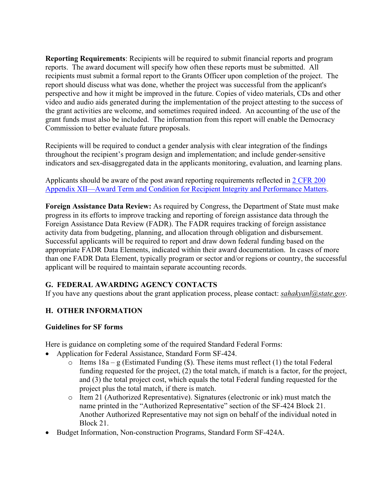**Reporting Requirements**: Recipients will be required to submit financial reports and program reports. The award document will specify how often these reports must be submitted. All recipients must submit a formal report to the Grants Officer upon completion of the project. The report should discuss what was done, whether the project was successful from the applicant's perspective and how it might be improved in the future. Copies of video materials, CDs and other video and audio aids generated during the implementation of the project attesting to the success of the grant activities are welcome, and sometimes required indeed. An accounting of the use of the grant funds must also be included. The information from this report will enable the Democracy Commission to better evaluate future proposals.

Recipients will be required to conduct a gender analysis with clear integration of the findings throughout the recipient's program design and implementation; and include gender-sensitive indicators and sex-disaggregated data in the applicants monitoring, evaluation, and learning plans.

Applicants should be aware of the post award reporting requirements reflected in [2 CFR 200](https://www.ecfr.gov/cgi-bin/retrieveECFR?gp=&SID=027fb85899500d580fc71df69d11573a&mc=true&n=pt2.1.200&r=PART&ty=HTML%20-%20ap2.1.200_1521.i#ap2.1.200_1521.xii)  [Appendix XII—Award Term and Condition for Recipient Integrity and Performance Matters.](https://www.ecfr.gov/cgi-bin/retrieveECFR?gp=&SID=027fb85899500d580fc71df69d11573a&mc=true&n=pt2.1.200&r=PART&ty=HTML%20-%20ap2.1.200_1521.i#ap2.1.200_1521.xii)

**Foreign Assistance Data Review:** As required by Congress, the Department of State must make progress in its efforts to improve tracking and reporting of foreign assistance data through the Foreign Assistance Data Review (FADR). The FADR requires tracking of foreign assistance activity data from budgeting, planning, and allocation through obligation and disbursement. Successful applicants will be required to report and draw down federal funding based on the appropriate FADR Data Elements, indicated within their award documentation. In cases of more than one FADR Data Element, typically program or sector and/or regions or country, the successful applicant will be required to maintain separate accounting records.

# **G. FEDERAL AWARDING AGENCY CONTACTS**

If you have any questions about the grant application process, please contact: *[sahakyanl@state.gov](mailto:sahakyanl@state.gov)*.

# **H. OTHER INFORMATION**

### **Guidelines for SF forms**

Here is guidance on completing some of the required Standard Federal Forms:

- Application for Federal Assistance, Standard Form SF-424.
	- $\circ$  Items 18a g (Estimated Funding (\$). These items must reflect (1) the total Federal funding requested for the project, (2) the total match, if match is a factor, for the project, and (3) the total project cost, which equals the total Federal funding requested for the project plus the total match, if there is match.
	- o Item 21 (Authorized Representative). Signatures (electronic or ink) must match the name printed in the "Authorized Representative" section of the SF-424 Block 21. Another Authorized Representative may not sign on behalf of the individual noted in Block 21.
- Budget Information, Non-construction Programs, Standard Form SF-424A.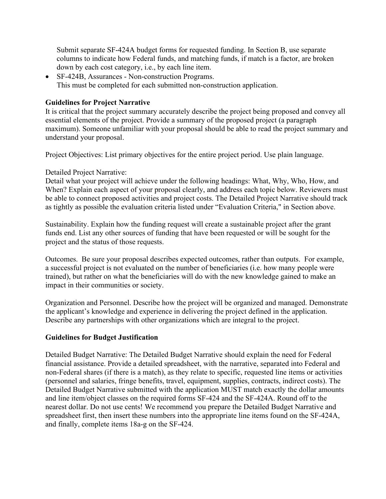Submit separate SF-424A budget forms for requested funding. In Section B, use separate columns to indicate how Federal funds, and matching funds, if match is a factor, are broken down by each cost category, i.e., by each line item.

• SF-424B, Assurances - Non-construction Programs. This must be completed for each submitted non-construction application.

#### **Guidelines for Project Narrative**

It is critical that the project summary accurately describe the project being proposed and convey all essential elements of the project. Provide a summary of the proposed project (a paragraph maximum). Someone unfamiliar with your proposal should be able to read the project summary and understand your proposal.

Project Objectives: List primary objectives for the entire project period. Use plain language.

#### Detailed Project Narrative:

Detail what your project will achieve under the following headings: What, Why, Who, How, and When? Explain each aspect of your proposal clearly, and address each topic below. Reviewers must be able to connect proposed activities and project costs. The Detailed Project Narrative should track as tightly as possible the evaluation criteria listed under "Evaluation Criteria," in Section above.

Sustainability. Explain how the funding request will create a sustainable project after the grant funds end. List any other sources of funding that have been requested or will be sought for the project and the status of those requests.

Outcomes. Be sure your proposal describes expected outcomes, rather than outputs. For example, a successful project is not evaluated on the number of beneficiaries (i.e. how many people were trained), but rather on what the beneficiaries will do with the new knowledge gained to make an impact in their communities or society.

Organization and Personnel. Describe how the project will be organized and managed. Demonstrate the applicant's knowledge and experience in delivering the project defined in the application. Describe any partnerships with other organizations which are integral to the project.

#### **Guidelines for Budget Justification**

Detailed Budget Narrative: The Detailed Budget Narrative should explain the need for Federal financial assistance. Provide a detailed spreadsheet, with the narrative, separated into Federal and non-Federal shares (if there is a match), as they relate to specific, requested line items or activities (personnel and salaries, fringe benefits, travel, equipment, supplies, contracts, indirect costs). The Detailed Budget Narrative submitted with the application MUST match exactly the dollar amounts and line item/object classes on the required forms SF-424 and the SF-424A. Round off to the nearest dollar. Do not use cents! We recommend you prepare the Detailed Budget Narrative and spreadsheet first, then insert these numbers into the appropriate line items found on the SF-424A, and finally, complete items 18a-g on the SF-424.